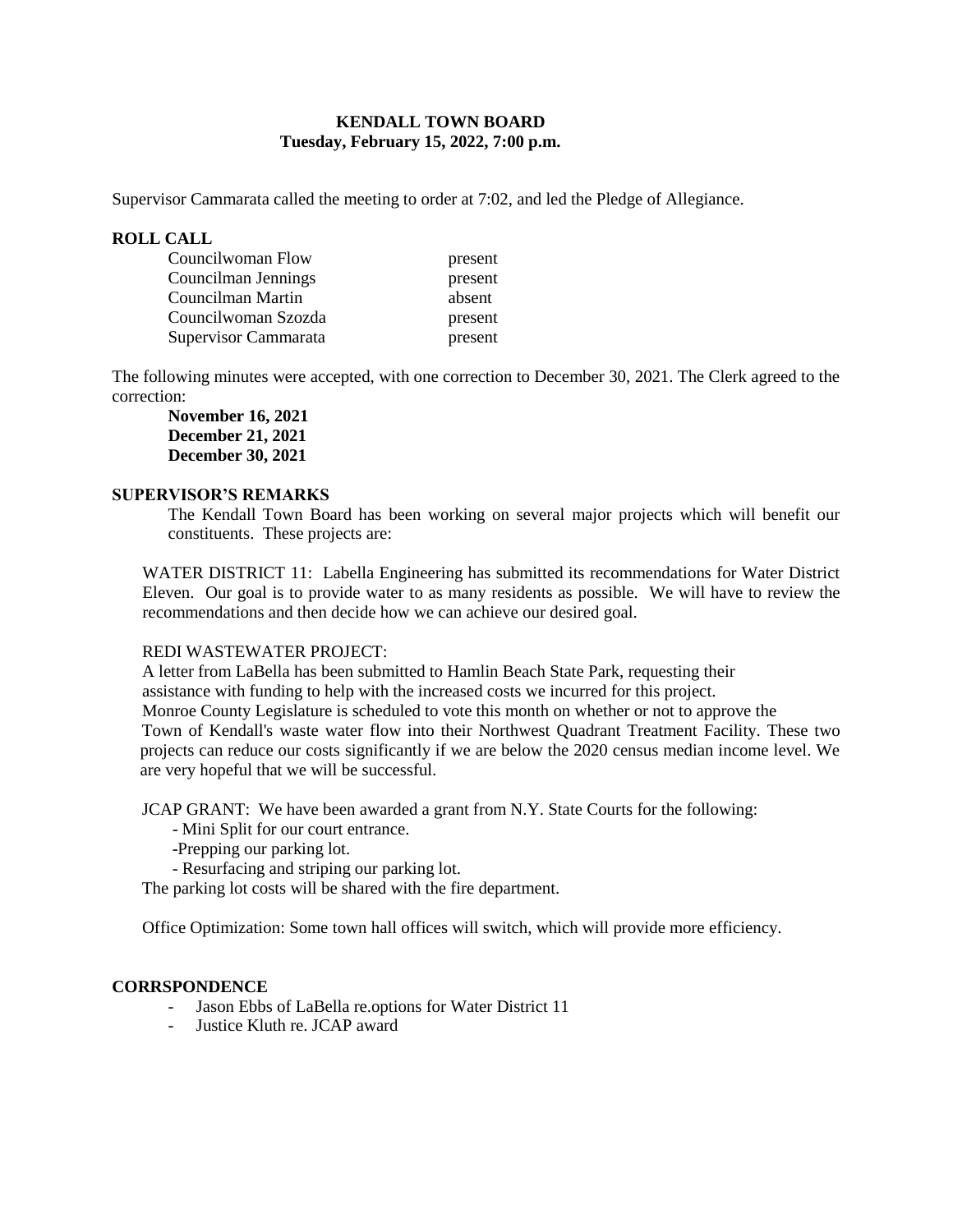### **KENDALL TOWN BOARD Tuesday, February 15, 2022, 7:00 p.m.**

Supervisor Cammarata called the meeting to order at 7:02, and led the Pledge of Allegiance.

### **ROLL CALL**

| Councilwoman Flow    | present |
|----------------------|---------|
| Councilman Jennings  | present |
| Councilman Martin    | absent  |
| Councilwoman Szozda  | present |
| Supervisor Cammarata | present |

The following minutes were accepted, with one correction to December 30, 2021. The Clerk agreed to the correction:

**November 16, 2021 December 21, 2021 December 30, 2021**

#### **SUPERVISOR'S REMARKS**

The Kendall Town Board has been working on several major projects which will benefit our constituents. These projects are:

WATER DISTRICT 11: Labella Engineering has submitted its recommendations for Water District Eleven. Our goal is to provide water to as many residents as possible. We will have to review the recommendations and then decide how we can achieve our desired goal.

### REDI WASTEWATER PROJECT:

 A letter from LaBella has been submitted to Hamlin Beach State Park, requesting their assistance with funding to help with the increased costs we incurred for this project. Monroe County Legislature is scheduled to vote this month on whether or not to approve the Town of Kendall's waste water flow into their Northwest Quadrant Treatment Facility. These two projects can reduce our costs significantly if we are below the 2020 census median income level. We are very hopeful that we will be successful.

JCAP GRANT: We have been awarded a grant from N.Y. State Courts for the following:

- Mini Split for our court entrance.
- -Prepping our parking lot.
- Resurfacing and striping our parking lot.

The parking lot costs will be shared with the fire department.

Office Optimization: Some town hall offices will switch, which will provide more efficiency.

### **CORRSPONDENCE**

- Jason Ebbs of LaBella re.options for Water District 11
- Justice Kluth re. JCAP award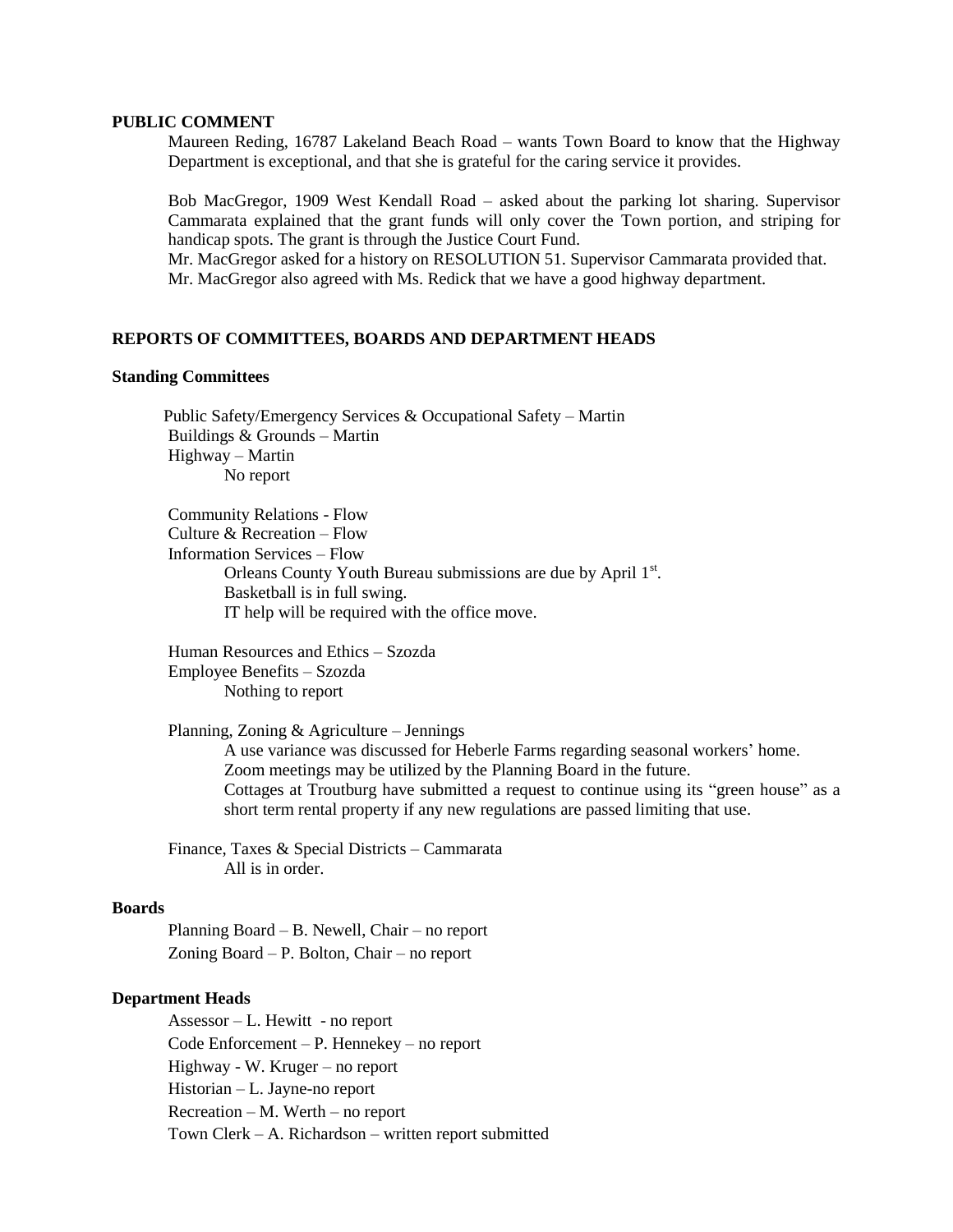#### **PUBLIC COMMENT**

Maureen Reding, 16787 Lakeland Beach Road – wants Town Board to know that the Highway Department is exceptional, and that she is grateful for the caring service it provides.

Bob MacGregor, 1909 West Kendall Road – asked about the parking lot sharing. Supervisor Cammarata explained that the grant funds will only cover the Town portion, and striping for handicap spots. The grant is through the Justice Court Fund.

Mr. MacGregor asked for a history on RESOLUTION 51. Supervisor Cammarata provided that. Mr. MacGregor also agreed with Ms. Redick that we have a good highway department.

#### **REPORTS OF COMMITTEES, BOARDS AND DEPARTMENT HEADS**

#### **Standing Committees**

 Public Safety/Emergency Services & Occupational Safety – Martin Buildings & Grounds – Martin Highway – Martin No report

Community Relations - Flow Culture & Recreation – Flow Information Services – Flow Orleans County Youth Bureau submissions are due by April 1st. Basketball is in full swing. IT help will be required with the office move.

Human Resources and Ethics – Szozda Employee Benefits – Szozda Nothing to report

Planning, Zoning & Agriculture – Jennings A use variance was discussed for Heberle Farms regarding seasonal workers' home. Zoom meetings may be utilized by the Planning Board in the future. Cottages at Troutburg have submitted a request to continue using its "green house" as a short term rental property if any new regulations are passed limiting that use.

Finance, Taxes & Special Districts – Cammarata All is in order.

#### **Boards**

Planning Board – B. Newell, Chair – no report Zoning Board – P. Bolton, Chair – no report

#### **Department Heads**

Assessor – L. Hewitt - no report Code Enforcement – P. Hennekey – no report Highway - W. Kruger – no report Historian – L. Jayne-no report Recreation – M. Werth – no report Town Clerk – A. Richardson – written report submitted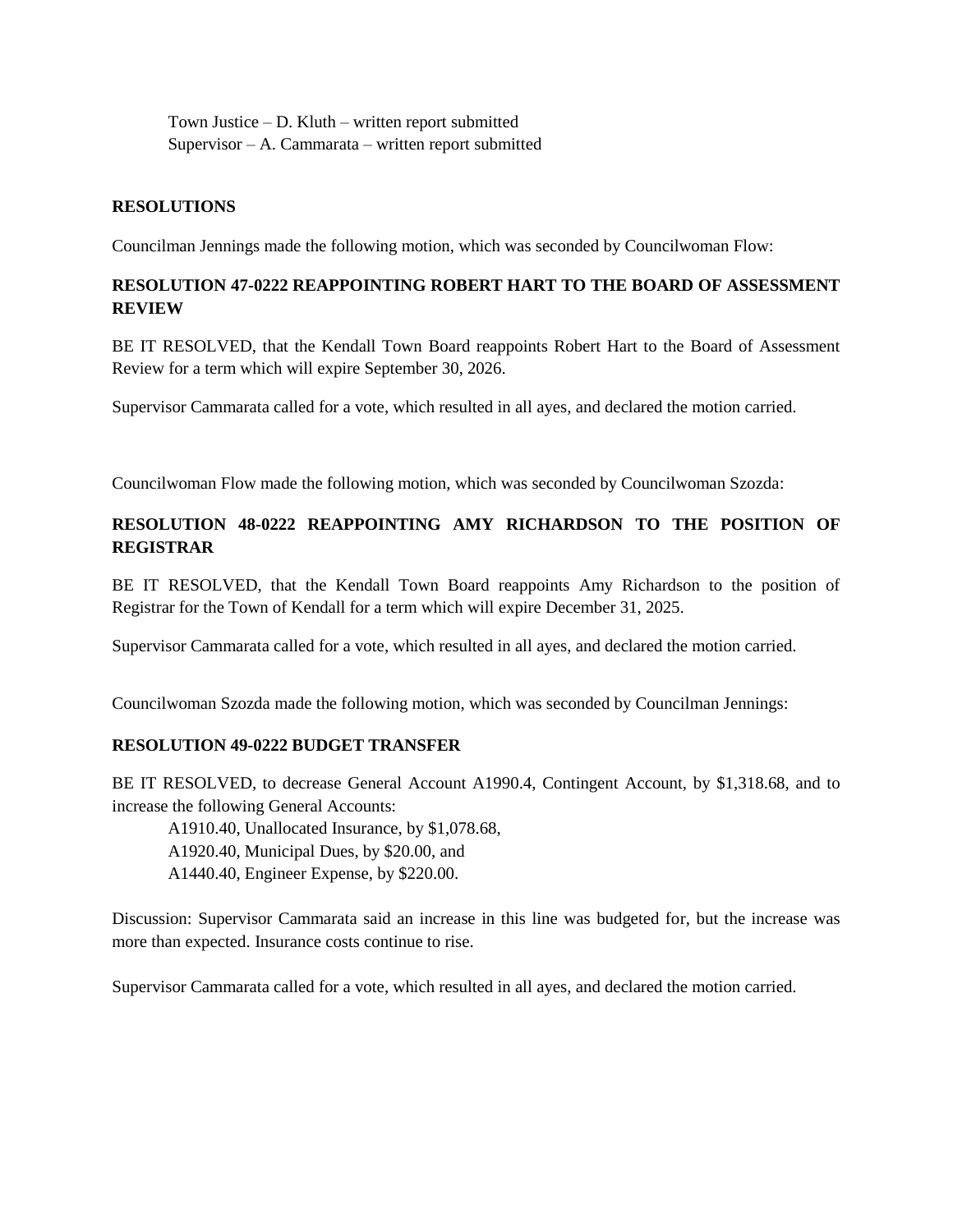Town Justice – D. Kluth – written report submitted Supervisor – A. Cammarata – written report submitted

### **RESOLUTIONS**

Councilman Jennings made the following motion, which was seconded by Councilwoman Flow:

# **RESOLUTION 47-0222 REAPPOINTING ROBERT HART TO THE BOARD OF ASSESSMENT REVIEW**

BE IT RESOLVED, that the Kendall Town Board reappoints Robert Hart to the Board of Assessment Review for a term which will expire September 30, 2026.

Supervisor Cammarata called for a vote, which resulted in all ayes, and declared the motion carried.

Councilwoman Flow made the following motion, which was seconded by Councilwoman Szozda:

# **RESOLUTION 48-0222 REAPPOINTING AMY RICHARDSON TO THE POSITION OF REGISTRAR**

BE IT RESOLVED, that the Kendall Town Board reappoints Amy Richardson to the position of Registrar for the Town of Kendall for a term which will expire December 31, 2025.

Supervisor Cammarata called for a vote, which resulted in all ayes, and declared the motion carried.

Councilwoman Szozda made the following motion, which was seconded by Councilman Jennings:

### **RESOLUTION 49-0222 BUDGET TRANSFER**

BE IT RESOLVED, to decrease General Account A1990.4, Contingent Account, by \$1,318.68, and to increase the following General Accounts:

A1910.40, Unallocated Insurance, by \$1,078.68,

A1920.40, Municipal Dues, by \$20.00, and

A1440.40, Engineer Expense, by \$220.00.

Discussion: Supervisor Cammarata said an increase in this line was budgeted for, but the increase was more than expected. Insurance costs continue to rise.

Supervisor Cammarata called for a vote, which resulted in all ayes, and declared the motion carried.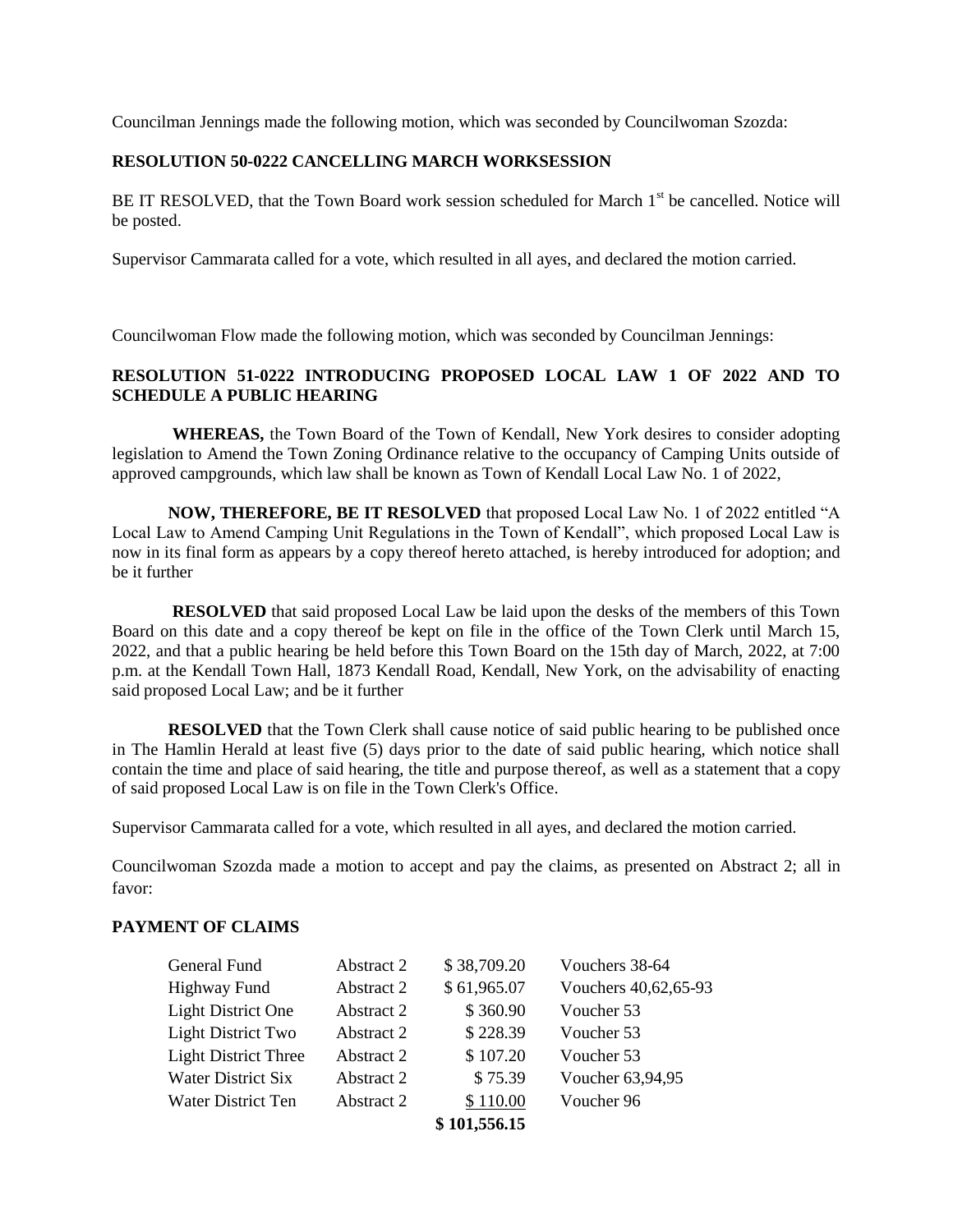Councilman Jennings made the following motion, which was seconded by Councilwoman Szozda:

### **RESOLUTION 50-0222 CANCELLING MARCH WORKSESSION**

BE IT RESOLVED, that the Town Board work session scheduled for March 1<sup>st</sup> be cancelled. Notice will be posted.

Supervisor Cammarata called for a vote, which resulted in all ayes, and declared the motion carried.

Councilwoman Flow made the following motion, which was seconded by Councilman Jennings:

## **RESOLUTION 51-0222 INTRODUCING PROPOSED LOCAL LAW 1 OF 2022 AND TO SCHEDULE A PUBLIC HEARING**

**WHEREAS,** the Town Board of the Town of Kendall, New York desires to consider adopting legislation to Amend the Town Zoning Ordinance relative to the occupancy of Camping Units outside of approved campgrounds, which law shall be known as Town of Kendall Local Law No. 1 of 2022,

**NOW, THEREFORE, BE IT RESOLVED** that proposed Local Law No. 1 of 2022 entitled "A Local Law to Amend Camping Unit Regulations in the Town of Kendall", which proposed Local Law is now in its final form as appears by a copy thereof hereto attached, is hereby introduced for adoption; and be it further

**RESOLVED** that said proposed Local Law be laid upon the desks of the members of this Town Board on this date and a copy thereof be kept on file in the office of the Town Clerk until March 15, 2022, and that a public hearing be held before this Town Board on the 15th day of March, 2022, at 7:00 p.m. at the Kendall Town Hall, 1873 Kendall Road, Kendall, New York, on the advisability of enacting said proposed Local Law; and be it further

**RESOLVED** that the Town Clerk shall cause notice of said public hearing to be published once in The Hamlin Herald at least five (5) days prior to the date of said public hearing, which notice shall contain the time and place of said hearing, the title and purpose thereof, as well as a statement that a copy of said proposed Local Law is on file in the Town Clerk's Office.

Supervisor Cammarata called for a vote, which resulted in all ayes, and declared the motion carried.

Councilwoman Szozda made a motion to accept and pay the claims, as presented on Abstract 2; all in favor:

### **PAYMENT OF CLAIMS**

| General Fund                | Abstract 2 | \$38,709.20  | Vouchers 38-64       |
|-----------------------------|------------|--------------|----------------------|
| Highway Fund                | Abstract 2 | \$61,965.07  | Vouchers 40,62,65-93 |
| <b>Light District One</b>   | Abstract 2 | \$360.90     | Voucher 53           |
| Light District Two          | Abstract 2 | \$228.39     | Voucher 53           |
| <b>Light District Three</b> | Abstract 2 | \$107.20     | Voucher 53           |
| Water District Six          | Abstract 2 | \$75.39      | Voucher 63,94,95     |
| Water District Ten          | Abstract 2 | \$110.00     | Voucher 96           |
|                             |            | \$101,556.15 |                      |